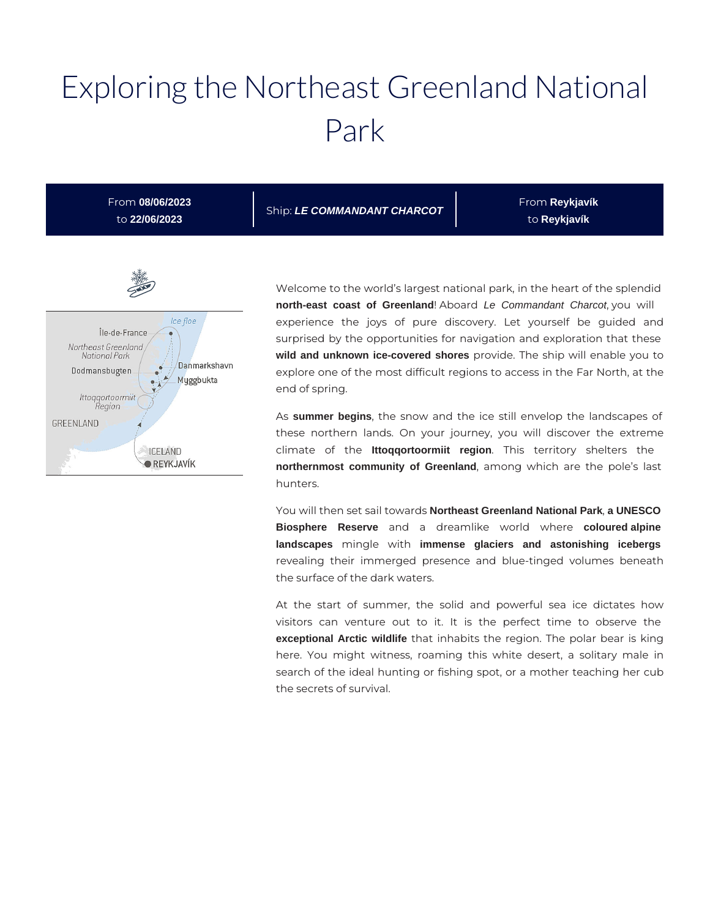# Exploring the Northeast Greenland National Park

From **08/06/2023** to **22/06/2023**

Ship: **LE COMMANDANT CHARCOT**

From **Reykjavík**  to **Reykjavík** 



Welcome to the world's largest national park, in the heart of the splendid **north-east coast of Greenland**! Aboard Le Commandant Charcot, you will experience the joys of pure discovery. Let yourself be guided and surprised by the opportunities for navigation and exploration that these **wild and unknown ice-covered shores** provide. The ship will enable you to explore one of the most difficult regions to access in the Far North, at the end of spring.

As **summer begins**, the snow and the ice still envelop the landscapes of these northern lands. On your journey, you will discover the extreme climate of the **Ittoqqortoormiit region**. This territory shelters the **northernmost community of Greenland**, among which are the pole's last hunters.

You will then set sail towards **Northeast Greenland National Park**, **a UNESCO Biosphere Reserve** and a dreamlike world where **coloured alpine landscapes** mingle with **immense glaciers and astonishing icebergs**  revealing their immerged presence and blue-tinged volumes beneath the surface of the dark waters.

At the start of summer, the solid and powerful sea ice dictates how visitors can venture out to it. It is the perfect time to observe the **exceptional Arctic wildlife** that inhabits the region. The polar bear is king here. You might witness, roaming this white desert, a solitary male in search of the ideal hunting or fishing spot, or a mother teaching her cub the secrets of survival.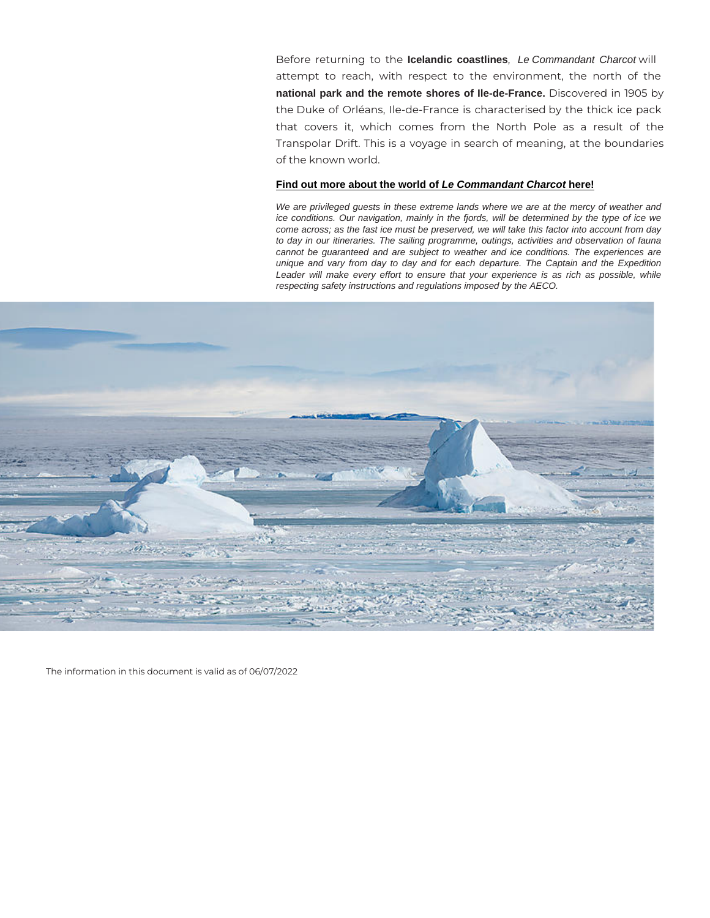Before returning Idedandib coastlines, Le Commandant Charcot will attempt to reach, with respect to the environment, t national park and the remote shores of Ile-de-France. Discovered in 1905 theDuke of Orléans, Ile-de-France is characterised by th that covers it, which comes from the North Pole Transpolar Drift. This is a voyage in search of meaning, of the known world.

#### [Find out more about the world of Le Commandant Charcot here!](https://en.calameo.com/read/000132423afed77b51b42)

We are privileged guests in these extreme lands where we are at the mercy of weather and ice conditions. Our navigation, mainly in the fjords, will be determined by the type of ice we come across; as the fast ice must be preserved, we will take this factor into account from day to day in our itineraries. The sailing programme, outings, activities and observation of fauna cannot be guaranteed and are subject to weather and ice conditions. The experiences are unique and vary from day to day and for each departure. The Captain and the Expedition Leader will make every effort to ensure that your experience is as rich as possible, while respecting safety instructions and regulations imposed by the AECO.

The information in this document is valid as of 06/07/2022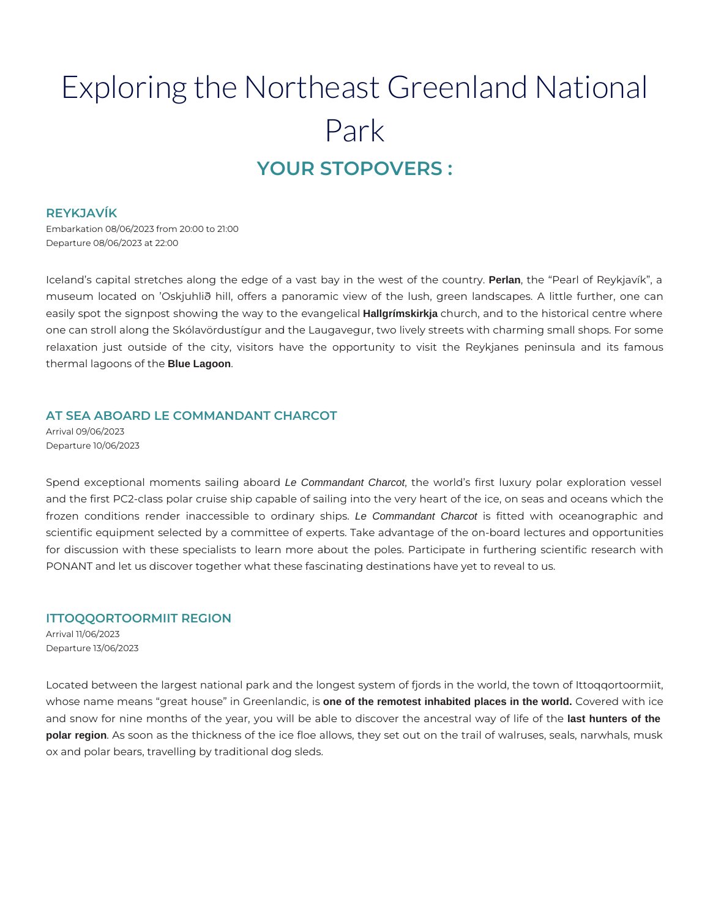# Exploring the Northeast Greenland National Park **YOUR STOPOVERS :**

#### **REYKJAVÍK**

Embarkation 08/06/2023 from 20:00 to 21:00 Departure 08/06/2023 at 22:00

Iceland's capital stretches along the edge of a vast bay in the west of the country. **Perlan**, the "Pearl of Reykjavík", a museum located on 'Oskjuhlið hill, offers a panoramic view of the lush, green landscapes. A little further, one can easily spot the signpost showing the way to the evangelical **Hallgrímskirkja** church, and to the historical centre where one can stroll along the Skólavördustígur and the Laugavegur, two lively streets with charming small shops. For some relaxation just outside of the city, visitors have the opportunity to visit the Reykjanes peninsula and its famous thermal lagoons of the **Blue Lagoon**.

# **AT SEA ABOARD LE COMMANDANT CHARCOT**

Arrival 09/06/2023 Departure 10/06/2023

Spend exceptional moments sailing aboard Le Commandant Charcot, the world's first luxury polar exploration vessel and the first PC2-class polar cruise ship capable of sailing into the very heart of the ice, on seas and oceans which the frozen conditions render inaccessible to ordinary ships. Le Commandant Charcot is fitted with oceanographic and scientific equipment selected by a committee of experts. Take advantage of the on-board lectures and opportunities for discussion with these specialists to learn more about the poles. Participate in furthering scientific research with PONANT and let us discover together what these fascinating destinations have yet to reveal to us.

# **ITTOQQORTOORMIIT REGION**

Arrival 11/06/2023 Departure 13/06/2023

Located between the largest national park and the longest system of fjords in the world, the town of Ittoqqortoormiit, whose name means "great house" in Greenlandic, is **one of the remotest inhabited places in the world.** Covered with ice and snow for nine months of the year, you will be able to discover the ancestral way of life of the **last hunters of the polar region**. As soon as the thickness of the ice floe allows, they set out on the trail of walruses, seals, narwhals, musk ox and polar bears, travelling by traditional dog sleds.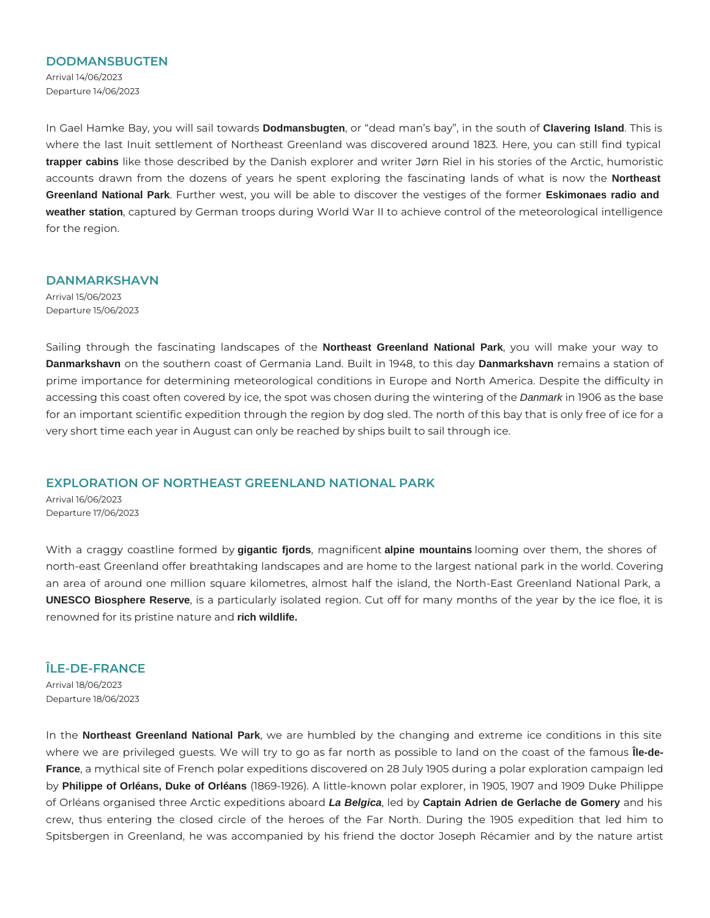#### **DODMANSBUGTEN**

Arrival 14/06/2023 Departure 14/06/2023

In Gael Hamke Bay, you will sail towards **Dodmansbugten**, or "dead man's bay", in the south of **Clavering Island**. This is where the last Inuit settlement of Northeast Greenland was discovered around 1823. Here, you can still find typical **trapper cabins** like those described by the Danish explorer and writer Jørn Riel in his stories of the Arctic, humoristic accounts drawn from the dozens of years he spent exploring the fascinating lands of what is now the **Northeast Greenland National Park**. Further west, you will be able to discover the vestiges of the former **Eskimonaes radio and weather station**, captured by German troops during World War II to achieve control of the meteorological intelligence for the region.

#### **DANMARKSHAVN**

Arrival 15/06/2023 Departure 15/06/2023

Sailing through the fascinating landscapes of the **Northeast Greenland National Park**, you will make your way to **Danmarkshavn** on the southern coast of Germania Land. Built in 1948, to this day **Danmarkshavn** remains a station of prime importance for determining meteorological conditions in Europe and North America. Despite the difficulty in accessing this coast often covered by ice, the spot was chosen during the wintering of the Danmark in 1906 as the base for an important scientific expedition through the region by dog sled. The north of this bay that is only free of ice for a very short time each year in August can only be reached by ships built to sail through ice.

# **EXPLORATION OF NORTHEAST GREENLAND NATIONAL PARK**

Arrival 16/06/2023 Departure 17/06/2023

With a craggy coastline formed by **gigantic fjords**, magnificent **alpine mountains** looming over them, the shores of north-east Greenland offer breathtaking landscapes and are home to the largest national park in the world. Covering an area of around one million square kilometres, almost half the island, the North-East Greenland National Park, a **UNESCO Biosphere Reserve**, is a particularly isolated region. Cut off for many months of the year by the ice floe, it is renowned for its pristine nature and **rich wildlife.**

# **ÎLE-DE-FRANCE**

Arrival 18/06/2023 Departure 18/06/2023

In the **Northeast Greenland National Park**, we are humbled by the changing and extreme ice conditions in this site where we are privileged guests. We will try to go as far north as possible to land on the coast of the famous **Île-de-France**, a mythical site of French polar expeditions discovered on 28 July 1905 during a polar exploration campaign led by **Philippe of Orléans, Duke of Orléans** (1869-1926). A little-known polar explorer, in 1905, 1907 and 1909 Duke Philippe of Orléans organised three Arctic expeditions aboard **La Belgica**, led by **Captain Adrien de Gerlache de Gomery** and his crew, thus entering the closed circle of the heroes of the Far North. During the 1905 expedition that led him to Spitsbergen in Greenland, he was accompanied by his friend the doctor Joseph Récamier and by the nature artist